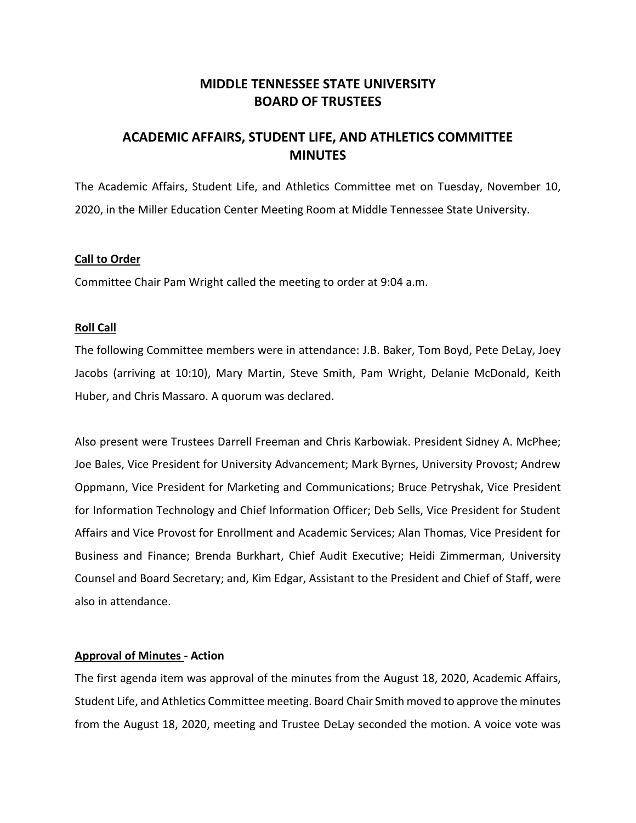# **MIDDLE TENNESSEE STATE UNIVERSITY BOARD OF TRUSTEES**

# **ACADEMIC AFFAIRS, STUDENT LIFE, AND ATHLETICS COMMITTEE MINUTES**

The Academic Affairs, Student Life, and Athletics Committee met on Tuesday, November 10, 2020, in the Miller Education Center Meeting Room at Middle Tennessee State University.

# **Call to Order**

Committee Chair Pam Wright called the meeting to order at 9:04 a.m.

# **Roll Call**

The following Committee members were in attendance: J.B. Baker, Tom Boyd, Pete DeLay, Joey Jacobs (arriving at 10:10), Mary Martin, Steve Smith, Pam Wright, Delanie McDonald, Keith Huber, and Chris Massaro. A quorum was declared.

Also present were Trustees Darrell Freeman and Chris Karbowiak. President Sidney A. McPhee; Joe Bales, Vice President for University Advancement; Mark Byrnes, University Provost; Andrew Oppmann, Vice President for Marketing and Communications; Bruce Petryshak, Vice President for Information Technology and Chief Information Officer; Deb Sells, Vice President for Student Affairs and Vice Provost for Enrollment and Academic Services; Alan Thomas, Vice President for Business and Finance; Brenda Burkhart, Chief Audit Executive; Heidi Zimmerman, University Counsel and Board Secretary; and, Kim Edgar, Assistant to the President and Chief of Staff, were also in attendance.

### **Approval of Minutes - Action**

The first agenda item was approval of the minutes from the August 18, 2020, Academic Affairs, Student Life, and Athletics Committee meeting. Board Chair Smith moved to approve the minutes from the August 18, 2020, meeting and Trustee DeLay seconded the motion. A voice vote was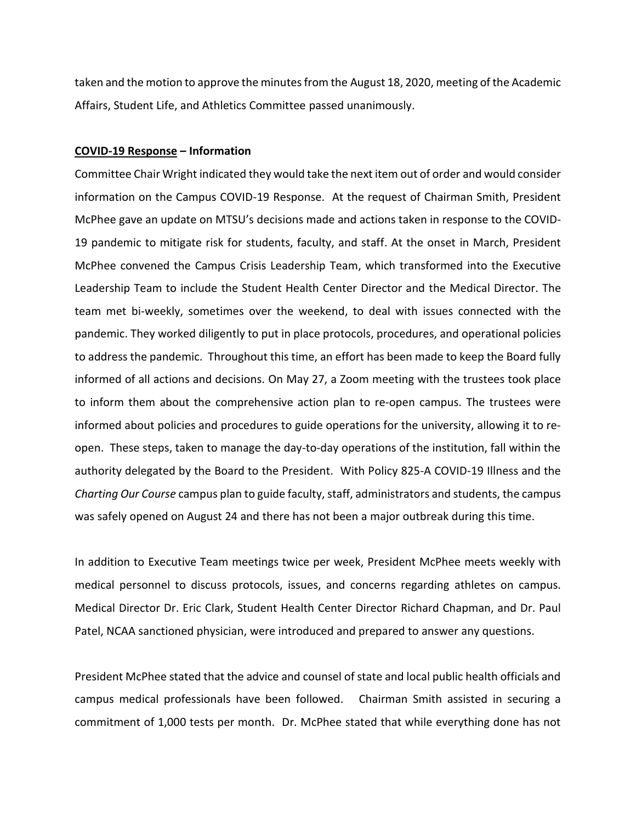taken and the motion to approve the minutes from the August 18, 2020, meeting of the Academic Affairs, Student Life, and Athletics Committee passed unanimously.

#### **COVID-19 Response – Information**

Committee Chair Wright indicated they would take the next item out of order and would consider information on the Campus COVID-19 Response. At the request of Chairman Smith, President McPhee gave an update on MTSU's decisions made and actions taken in response to the COVID-19 pandemic to mitigate risk for students, faculty, and staff. At the onset in March, President McPhee convened the Campus Crisis Leadership Team, which transformed into the Executive Leadership Team to include the Student Health Center Director and the Medical Director. The team met bi-weekly, sometimes over the weekend, to deal with issues connected with the pandemic. They worked diligently to put in place protocols, procedures, and operational policies to address the pandemic. Throughout this time, an effort has been made to keep the Board fully informed of all actions and decisions. On May 27, a Zoom meeting with the trustees took place to inform them about the comprehensive action plan to re-open campus. The trustees were informed about policies and procedures to guide operations for the university, allowing it to reopen. These steps, taken to manage the day-to-day operations of the institution, fall within the authority delegated by the Board to the President. With Policy 825-A COVID-19 Illness and the *Charting Our Course* campus plan to guide faculty, staff, administrators and students, the campus was safely opened on August 24 and there has not been a major outbreak during this time.

In addition to Executive Team meetings twice per week, President McPhee meets weekly with medical personnel to discuss protocols, issues, and concerns regarding athletes on campus. Medical Director Dr. Eric Clark, Student Health Center Director Richard Chapman, and Dr. Paul Patel, NCAA sanctioned physician, were introduced and prepared to answer any questions.

President McPhee stated that the advice and counsel of state and local public health officials and campus medical professionals have been followed. Chairman Smith assisted in securing a commitment of 1,000 tests per month. Dr. McPhee stated that while everything done has not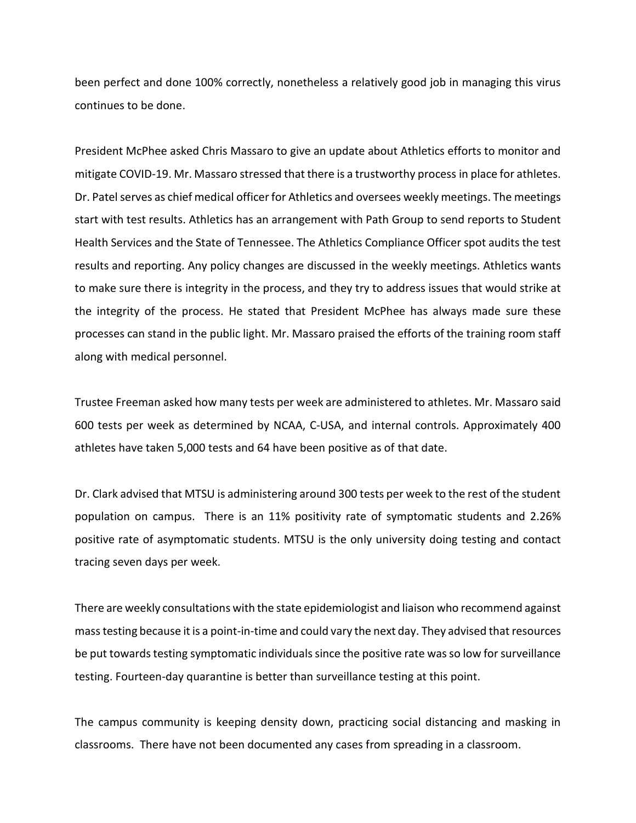been perfect and done 100% correctly, nonetheless a relatively good job in managing this virus continues to be done.

President McPhee asked Chris Massaro to give an update about Athletics efforts to monitor and mitigate COVID-19. Mr. Massaro stressed that there is a trustworthy process in place for athletes. Dr. Patel serves as chief medical officer for Athletics and oversees weekly meetings. The meetings start with test results. Athletics has an arrangement with Path Group to send reports to Student Health Services and the State of Tennessee. The Athletics Compliance Officer spot audits the test results and reporting. Any policy changes are discussed in the weekly meetings. Athletics wants to make sure there is integrity in the process, and they try to address issues that would strike at the integrity of the process. He stated that President McPhee has always made sure these processes can stand in the public light. Mr. Massaro praised the efforts of the training room staff along with medical personnel.

Trustee Freeman asked how many tests per week are administered to athletes. Mr. Massaro said 600 tests per week as determined by NCAA, C-USA, and internal controls. Approximately 400 athletes have taken 5,000 tests and 64 have been positive as of that date.

Dr. Clark advised that MTSU is administering around 300 tests per week to the rest of the student population on campus. There is an 11% positivity rate of symptomatic students and 2.26% positive rate of asymptomatic students. MTSU is the only university doing testing and contact tracing seven days per week.

There are weekly consultations with the state epidemiologist and liaison who recommend against mass testing because it is a point-in-time and could vary the next day. They advised that resources be put towards testing symptomatic individuals since the positive rate was so low for surveillance testing. Fourteen-day quarantine is better than surveillance testing at this point.

The campus community is keeping density down, practicing social distancing and masking in classrooms. There have not been documented any cases from spreading in a classroom.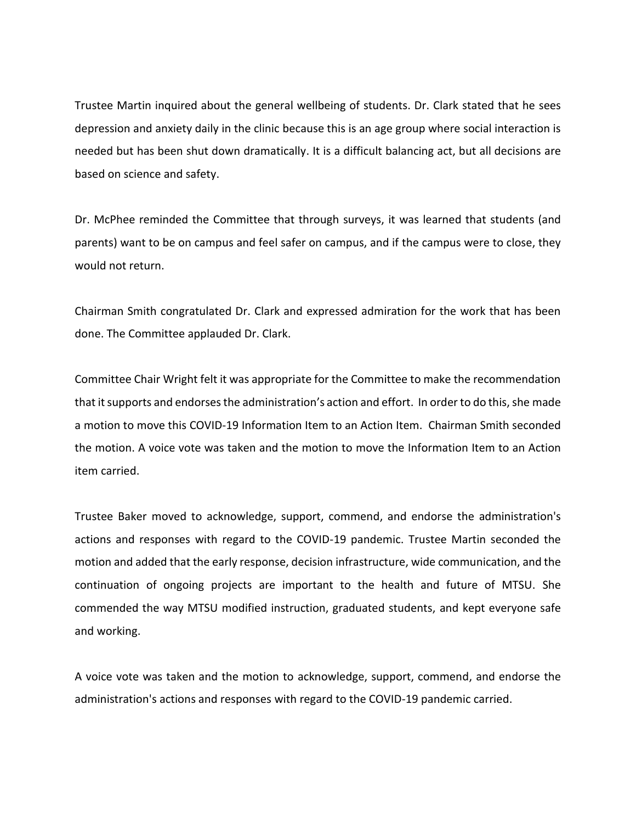Trustee Martin inquired about the general wellbeing of students. Dr. Clark stated that he sees depression and anxiety daily in the clinic because this is an age group where social interaction is needed but has been shut down dramatically. It is a difficult balancing act, but all decisions are based on science and safety.

Dr. McPhee reminded the Committee that through surveys, it was learned that students (and parents) want to be on campus and feel safer on campus, and if the campus were to close, they would not return.

Chairman Smith congratulated Dr. Clark and expressed admiration for the work that has been done. The Committee applauded Dr. Clark.

Committee Chair Wright felt it was appropriate for the Committee to make the recommendation that it supports and endorses the administration's action and effort. In order to do this, she made a motion to move this COVID-19 Information Item to an Action Item. Chairman Smith seconded the motion. A voice vote was taken and the motion to move the Information Item to an Action item carried.

Trustee Baker moved to acknowledge, support, commend, and endorse the administration's actions and responses with regard to the COVID-19 pandemic. Trustee Martin seconded the motion and added that the early response, decision infrastructure, wide communication, and the continuation of ongoing projects are important to the health and future of MTSU. She commended the way MTSU modified instruction, graduated students, and kept everyone safe and working.

A voice vote was taken and the motion to acknowledge, support, commend, and endorse the administration's actions and responses with regard to the COVID-19 pandemic carried.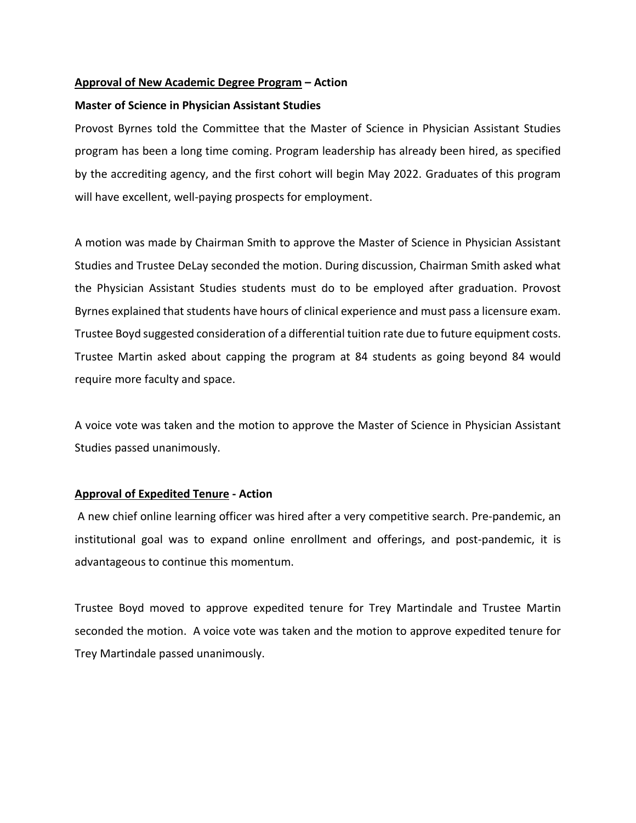# **Approval of New Academic Degree Program – Action**

# **Master of Science in Physician Assistant Studies**

Provost Byrnes told the Committee that the Master of Science in Physician Assistant Studies program has been a long time coming. Program leadership has already been hired, as specified by the accrediting agency, and the first cohort will begin May 2022. Graduates of this program will have excellent, well-paying prospects for employment.

A motion was made by Chairman Smith to approve the Master of Science in Physician Assistant Studies and Trustee DeLay seconded the motion. During discussion, Chairman Smith asked what the Physician Assistant Studies students must do to be employed after graduation. Provost Byrnes explained that students have hours of clinical experience and must pass a licensure exam. Trustee Boyd suggested consideration of a differential tuition rate due to future equipment costs. Trustee Martin asked about capping the program at 84 students as going beyond 84 would require more faculty and space.

A voice vote was taken and the motion to approve the Master of Science in Physician Assistant Studies passed unanimously.

### **Approval of Expedited Tenure - Action**

A new chief online learning officer was hired after a very competitive search. Pre-pandemic, an institutional goal was to expand online enrollment and offerings, and post-pandemic, it is advantageous to continue this momentum.

Trustee Boyd moved to approve expedited tenure for Trey Martindale and Trustee Martin seconded the motion. A voice vote was taken and the motion to approve expedited tenure for Trey Martindale passed unanimously.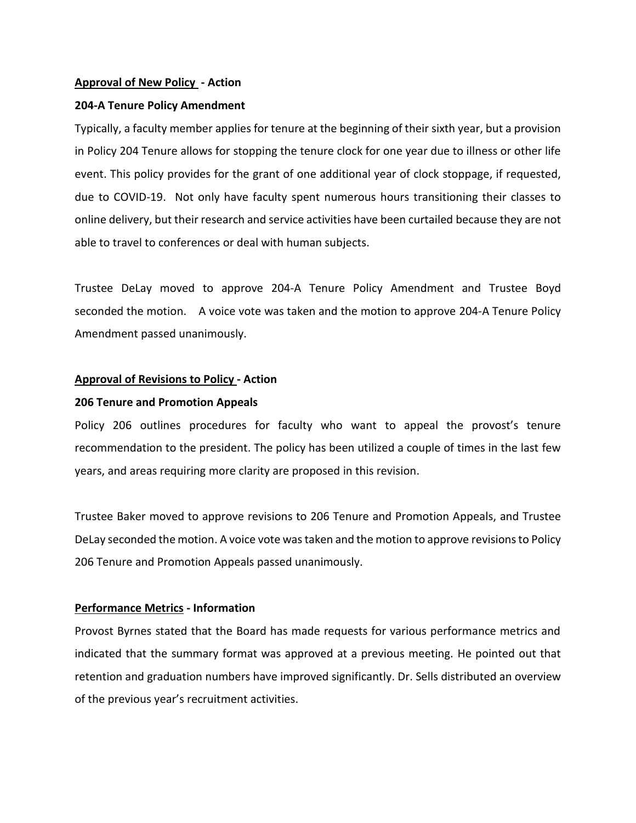### **Approval of New Policy - Action**

# **204-A Tenure Policy Amendment**

Typically, a faculty member applies for tenure at the beginning of their sixth year, but a provision in Policy 204 Tenure allows for stopping the tenure clock for one year due to illness or other life event. This policy provides for the grant of one additional year of clock stoppage, if requested, due to COVID-19. Not only have faculty spent numerous hours transitioning their classes to online delivery, but their research and service activities have been curtailed because they are not able to travel to conferences or deal with human subjects.

Trustee DeLay moved to approve 204-A Tenure Policy Amendment and Trustee Boyd seconded the motion. A voice vote was taken and the motion to approve 204-A Tenure Policy Amendment passed unanimously.

### **Approval of Revisions to Policy - Action**

# **206 Tenure and Promotion Appeals**

Policy 206 outlines procedures for faculty who want to appeal the provost's tenure recommendation to the president. The policy has been utilized a couple of times in the last few years, and areas requiring more clarity are proposed in this revision.

Trustee Baker moved to approve revisions to 206 Tenure and Promotion Appeals, and Trustee DeLay seconded the motion. A voice vote was taken and the motion to approve revisions to Policy 206 Tenure and Promotion Appeals passed unanimously.

# **Performance Metrics - Information**

Provost Byrnes stated that the Board has made requests for various performance metrics and indicated that the summary format was approved at a previous meeting. He pointed out that retention and graduation numbers have improved significantly. Dr. Sells distributed an overview of the previous year's recruitment activities.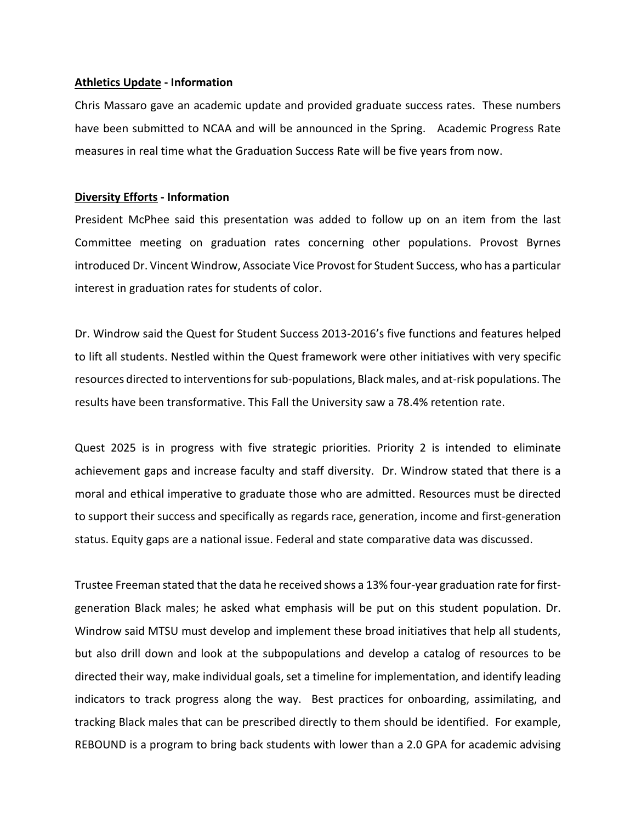#### **Athletics Update - Information**

Chris Massaro gave an academic update and provided graduate success rates. These numbers have been submitted to NCAA and will be announced in the Spring. Academic Progress Rate measures in real time what the Graduation Success Rate will be five years from now.

#### **Diversity Efforts - Information**

President McPhee said this presentation was added to follow up on an item from the last Committee meeting on graduation rates concerning other populations. Provost Byrnes introduced Dr. Vincent Windrow, Associate Vice Provost for Student Success, who has a particular interest in graduation rates for students of color.

Dr. Windrow said the Quest for Student Success 2013-2016's five functions and features helped to lift all students. Nestled within the Quest framework were other initiatives with very specific resources directed to interventions for sub-populations, Black males, and at-risk populations. The results have been transformative. This Fall the University saw a 78.4% retention rate.

Quest 2025 is in progress with five strategic priorities. Priority 2 is intended to eliminate achievement gaps and increase faculty and staff diversity. Dr. Windrow stated that there is a moral and ethical imperative to graduate those who are admitted. Resources must be directed to support their success and specifically as regards race, generation, income and first-generation status. Equity gaps are a national issue. Federal and state comparative data was discussed.

Trustee Freeman stated that the data he received shows a 13% four-year graduation rate for firstgeneration Black males; he asked what emphasis will be put on this student population. Dr. Windrow said MTSU must develop and implement these broad initiatives that help all students, but also drill down and look at the subpopulations and develop a catalog of resources to be directed their way, make individual goals, set a timeline for implementation, and identify leading indicators to track progress along the way. Best practices for onboarding, assimilating, and tracking Black males that can be prescribed directly to them should be identified. For example, REBOUND is a program to bring back students with lower than a 2.0 GPA for academic advising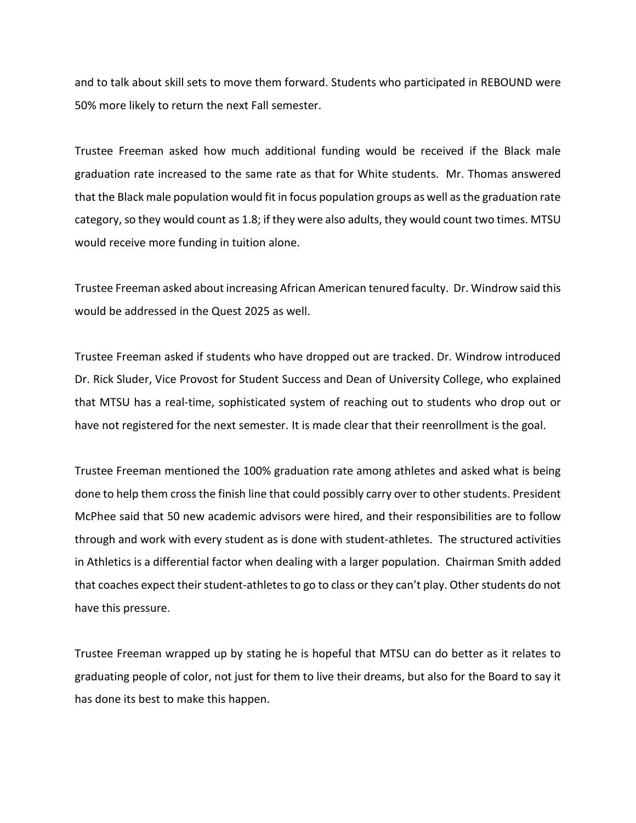and to talk about skill sets to move them forward. Students who participated in REBOUND were 50% more likely to return the next Fall semester.

Trustee Freeman asked how much additional funding would be received if the Black male graduation rate increased to the same rate as that for White students. Mr. Thomas answered that the Black male population would fit in focus population groups as well as the graduation rate category, so they would count as 1.8; if they were also adults, they would count two times. MTSU would receive more funding in tuition alone.

Trustee Freeman asked about increasing African American tenured faculty. Dr. Windrow said this would be addressed in the Quest 2025 as well.

Trustee Freeman asked if students who have dropped out are tracked. Dr. Windrow introduced Dr. Rick Sluder, Vice Provost for Student Success and Dean of University College, who explained that MTSU has a real-time, sophisticated system of reaching out to students who drop out or have not registered for the next semester. It is made clear that their reenrollment is the goal.

Trustee Freeman mentioned the 100% graduation rate among athletes and asked what is being done to help them cross the finish line that could possibly carry over to other students. President McPhee said that 50 new academic advisors were hired, and their responsibilities are to follow through and work with every student as is done with student-athletes. The structured activities in Athletics is a differential factor when dealing with a larger population. Chairman Smith added that coaches expect their student-athletes to go to class or they can't play. Other students do not have this pressure.

Trustee Freeman wrapped up by stating he is hopeful that MTSU can do better as it relates to graduating people of color, not just for them to live their dreams, but also for the Board to say it has done its best to make this happen.